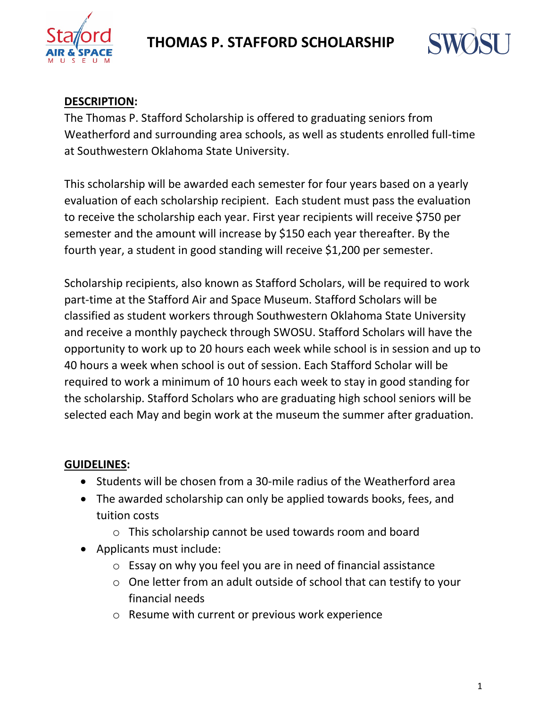

# **THOMAS P. STAFFORD SCHOLARSHIP**



### **DESCRIPTION:**

The Thomas P. Stafford Scholarship is offered to graduating seniors from Weatherford and surrounding area schools, as well as students enrolled full-time at Southwestern Oklahoma State University.

This scholarship will be awarded each semester for four years based on a yearly evaluation of each scholarship recipient. Each student must pass the evaluation to receive the scholarship each year. First year recipients will receive \$750 per semester and the amount will increase by \$150 each year thereafter. By the fourth year, a student in good standing will receive \$1,200 per semester.

Scholarship recipients, also known as Stafford Scholars, will be required to work part-time at the Stafford Air and Space Museum. Stafford Scholars will be classified as student workers through Southwestern Oklahoma State University and receive a monthly paycheck through SWOSU. Stafford Scholars will have the opportunity to work up to 20 hours each week while school is in session and up to 40 hours a week when school is out of session. Each Stafford Scholar will be required to work a minimum of 10 hours each week to stay in good standing for the scholarship. Stafford Scholars who are graduating high school seniors will be selected each May and begin work at the museum the summer after graduation.

### **GUIDELINES:**

- Students will be chosen from a 30-mile radius of the Weatherford area
- The awarded scholarship can only be applied towards books, fees, and tuition costs
	- o This scholarship cannot be used towards room and board
- Applicants must include:
	- o Essay on why you feel you are in need of financial assistance
	- o One letter from an adult outside of school that can testify to your financial needs
	- o Resume with current or previous work experience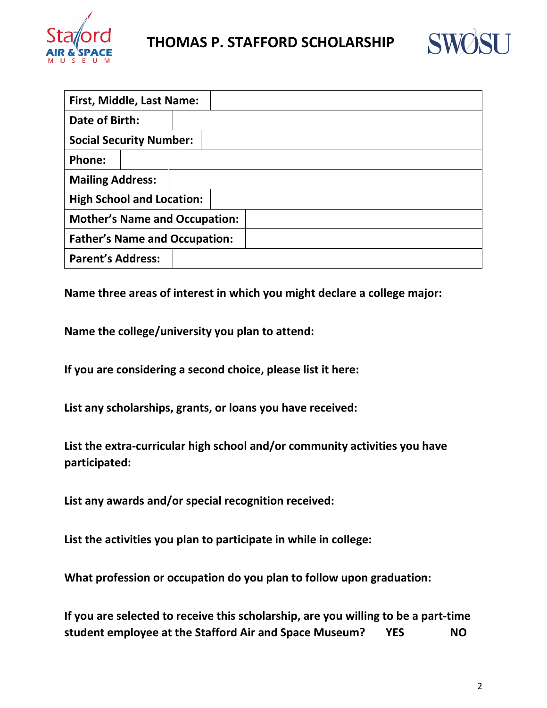

## **THOMAS P. STAFFORD SCHOLARSHIP**



| First, Middle, Last Name:            |  |  |  |  |  |  |
|--------------------------------------|--|--|--|--|--|--|
| Date of Birth:                       |  |  |  |  |  |  |
| <b>Social Security Number:</b>       |  |  |  |  |  |  |
| Phone:                               |  |  |  |  |  |  |
| <b>Mailing Address:</b>              |  |  |  |  |  |  |
| <b>High School and Location:</b>     |  |  |  |  |  |  |
| <b>Mother's Name and Occupation:</b> |  |  |  |  |  |  |
| <b>Father's Name and Occupation:</b> |  |  |  |  |  |  |
| <b>Parent's Address:</b>             |  |  |  |  |  |  |

**Name three areas of interest in which you might declare a college major:** 

**Name the college/university you plan to attend:** 

**If you are considering a second choice, please list it here:** 

**List any scholarships, grants, or loans you have received:**

**List the extra-curricular high school and/or community activities you have participated:** 

**List any awards and/or special recognition received:** 

**List the activities you plan to participate in while in college:** 

**What profession or occupation do you plan to follow upon graduation:**

**If you are selected to receive this scholarship, are you willing to be a part-time student employee at the Stafford Air and Space Museum? YES NO**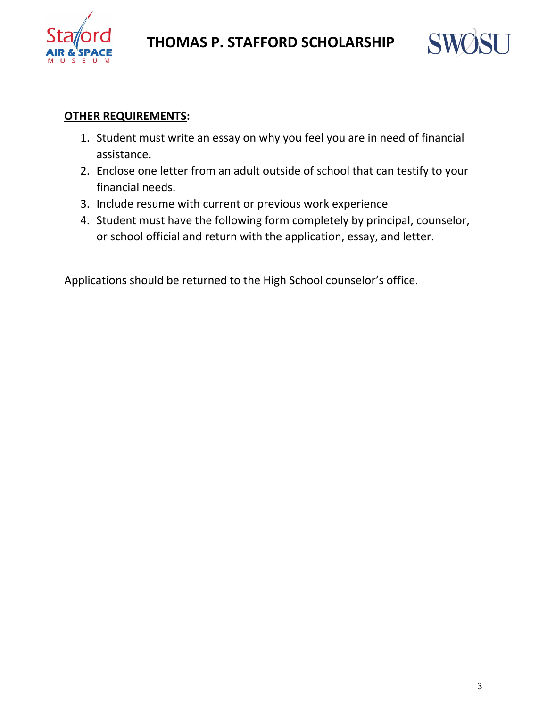



#### **OTHER REQUIREMENTS:**

- 1. Student must write an essay on why you feel you are in need of financial assistance.
- 2. Enclose one letter from an adult outside of school that can testify to your financial needs.
- 3. Include resume with current or previous work experience
- 4. Student must have the following form completely by principal, counselor, or school official and return with the application, essay, and letter.

Applications should be returned to the High School counselor's office.